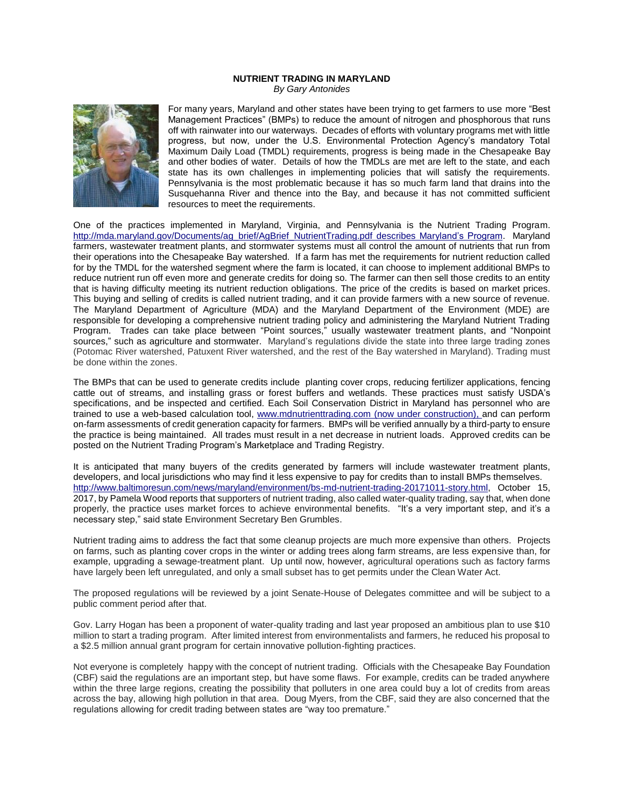## **NUTRIENT TRADING IN MARYLAND** *By Gary Antonides*



For many years, Maryland and other states have been trying to get farmers to use more "Best Management Practices" (BMPs) to reduce the amount of nitrogen and phosphorous that runs off with rainwater into our waterways. Decades of efforts with voluntary programs met with little progress, but now, under the U.S. Environmental Protection Agency's mandatory Total Maximum Daily Load (TMDL) requirements, progress is being made in the Chesapeake Bay and other bodies of water. Details of how the TMDLs are met are left to the state, and each state has its own challenges in implementing policies that will satisfy the requirements. Pennsylvania is the most problematic because it has so much farm land that drains into the Susquehanna River and thence into the Bay, and because it has not committed sufficient resources to meet the requirements.

One of the practices implemented in Maryland, Virginia, and Pennsylvania is the Nutrient Trading Program. [http://mda.maryland.gov/Documents/ag\\_brief/AgBrief\\_NutrientTrading.pdf](http://mda.maryland.gov/Documents/ag_brief/AgBrief_NutrientTrading.pdf) describes Maryland's Program. Maryland farmers, wastewater treatment plants, and stormwater systems must all control the amount of nutrients that run from their operations into the Chesapeake Bay watershed. If a farm has met the requirements for nutrient reduction called for by the TMDL for the watershed segment where the farm is located, it can choose to implement additional BMPs to reduce nutrient run off even more and generate credits for doing so. The farmer can then sell those credits to an entity that is having difficulty meeting its nutrient reduction obligations. The price of the credits is based on market prices. This buying and selling of credits is called nutrient trading, and it can provide farmers with a new source of revenue. The Maryland Department of Agriculture (MDA) and the Maryland Department of the Environment (MDE) are responsible for developing a comprehensive nutrient trading policy and administering the Maryland Nutrient Trading Program. Trades can take place between "Point sources," usually wastewater treatment plants, and "Nonpoint sources," such as agriculture and stormwater. Maryland's regulations divide the state into three large trading zones (Potomac River watershed, Patuxent River watershed, and the rest of the Bay watershed in Maryland). Trading must be done within the zones.

The BMPs that can be used to generate credits include planting cover crops, reducing fertilizer applications, fencing cattle out of streams, and installing grass or forest buffers and wetlands. These practices must satisfy USDA's specifications, and be inspected and certified. Each Soil Conservation District in Maryland has personnel who are trained to use a web-based calculation tool, [www.mdnutrienttrading.com](http://www.mdnutrienttrading.com/) (now under construction), and can perform on-farm assessments of credit generation capacity for farmers. BMPs will be verified annually by a third-party to ensure the practice is being maintained. All trades must result in a net decrease in nutrient loads. Approved credits can be posted on the Nutrient Trading Program's Marketplace and Trading Registry.

It is anticipated that many buyers of the credits generated by farmers will include wastewater treatment plants, developers, and local jurisdictions who may find it less expensive to pay for credits than to install BMPs themselves. [http://www.baltimoresun.com/news/maryland/environment/bs-md-nutrient-trading-20171011-story.html,](http://www.baltimoresun.com/news/maryland/environment/bs-md-nutrient-trading-20171011-story.html) October 15, 2017, by Pamela Wood reports that supporters of nutrient trading, also called water-quality trading, say that, when done properly, the practice uses market forces to achieve environmental benefits. "It's a very important step, and it's a necessary step," said state Environment Secretary Ben Grumbles.

Nutrient trading aims to address the fact that some cleanup projects are much more expensive than others. Projects on farms, such as planting cover crops in the winter or adding trees along farm streams, are less expensive than, for example, upgrading a sewage-treatment plant. Up until now, however, agricultural operations such as factory farms have largely been left unregulated, and only a small subset has to get permits under the Clean Water Act.

The proposed regulations will be reviewed by a joint Senate-House of Delegates committee and will be subject to a public comment period after that.

Gov. Larry Hogan has been a proponent of water-quality trading and last year proposed an ambitious plan to use \$10 million to start a trading program. After limited interest from environmentalists and farmers, he reduced his proposal to a \$2.5 million annual grant program for certain innovative pollution-fighting practices.

Not everyone is completely happy with the concept of nutrient trading. Officials with the Chesapeake Bay Foundation (CBF) said the regulations are an important step, but have some flaws. For example, credits can be traded anywhere within the three large regions, creating the possibility that polluters in one area could buy a lot of credits from areas across the bay, allowing high pollution in that area. Doug Myers, from the CBF, said they are also concerned that the regulations allowing for credit trading between states are "way too premature."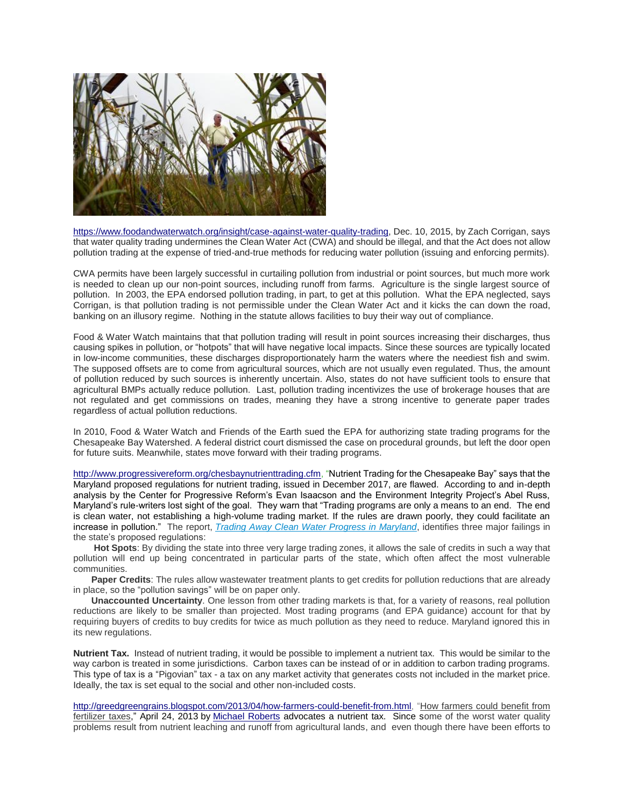

[https://www.foodandwaterwatch.org/insight/case-against-water-quality-trading,](https://www.foodandwaterwatch.org/insight/case-against-water-quality-trading) Dec. 10, 2015, by Zach Corrigan, says that water quality trading undermines the Clean Water Act (CWA) and should be illegal, and that the Act does not allow pollution trading at the expense of tried-and-true methods for reducing water pollution (issuing and enforcing permits).

CWA permits have been largely successful in curtailing pollution from industrial or point sources, but much more work is needed to clean up our non-point sources, including runoff from farms. Agriculture is the single largest source of pollution. In 2003, the EPA endorsed pollution trading, in part, to get at this pollution. What the EPA neglected, says Corrigan, is that pollution trading is not permissible under the Clean Water Act and it kicks the can down the road, banking on an illusory regime. Nothing in the statute allows facilities to buy their way out of compliance.

Food & Water Watch maintains that that pollution trading will result in point sources increasing their discharges, thus causing spikes in pollution, or "hotpots" that will have negative local impacts. Since these sources are typically located in low-income communities, these discharges disproportionately harm the waters where the neediest fish and swim. The supposed offsets are to come from agricultural sources, which are not usually even regulated. Thus, the amount of pollution reduced by such sources is inherently uncertain. Also, states do not have sufficient tools to ensure that agricultural BMPs actually reduce pollution. Last, pollution trading incentivizes the use of brokerage houses that are not regulated and get commissions on trades, meaning they have a strong incentive to generate paper trades regardless of actual pollution reductions.

In 2010, Food & Water Watch and Friends of the Earth sued the EPA for authorizing state trading programs for the Chesapeake Bay Watershed. A federal district court dismissed the case on procedural grounds, but left the door open for future suits. Meanwhile, states move forward with their trading programs.

[http://www.progressivereform.org/chesbaynutrienttrading.cfm,](http://www.progressivereform.org/chesbaynutrienttrading.cfm) "Nutrient Trading for the Chesapeake Bay" says that the Maryland proposed regulations for nutrient trading, issued in December 2017, are flawed. According to and in-depth analysis by the Center for Progressive Reform's Evan Isaacson and the Environment Integrity Project's Abel Russ, Maryland's rule-writers lost sight of the goal. They warn that "Trading programs are only a means to an end. The end is clean water, not establishing a high-volume trading market. If the rules are drawn poorly, they could facilitate an increase in pollution." The report, *[Trading Away Clean Water Progress in Maryland](http://www.progressivereform.org/articles/ChesBayMDTrading.pdf)*, identifies three major failings in the state's proposed regulations:

 **Hot Spots**: By dividing the state into three very large trading zones, it allows the sale of credits in such a way that pollution will end up being concentrated in particular parts of the state, which often affect the most vulnerable communities.

 **Paper Credits**: The rules allow wastewater treatment plants to get credits for pollution reductions that are already in place, so the "pollution savings" will be on paper only.

 **Unaccounted Uncertainty**. One lesson from other trading markets is that, for a variety of reasons, real pollution reductions are likely to be smaller than projected. Most trading programs (and EPA guidance) account for that by requiring buyers of credits to buy credits for twice as much pollution as they need to reduce. Maryland ignored this in its new regulations.

**Nutrient Tax.** Instead of nutrient trading, it would be possible to implement a nutrient tax. This would be similar to the way carbon is treated in some jurisdictions. Carbon taxes can be instead of or in addition to carbon trading programs. This type of tax is a "Pigovian" tax - a tax on any market activity that generates costs not included in the market price. Ideally, the tax is set equal to the social and other non-included costs.

[http://greedgreengrains.blogspot.com/2013/04/how-farmers-could-benefit-from.html,](http://greedgreengrains.blogspot.com/2013/04/how-farmers-could-benefit-from.html) ["How farmers could benefit from](http://greedgreengrains.blogspot.com/2013/04/how-farmers-could-benefit-from.html)  [fertilizer taxes,"](http://greedgreengrains.blogspot.com/2013/04/how-farmers-could-benefit-from.html) April 24, 2013 by [Michael Roberts](https://plus.google.com/112873006316730724775) advocates a nutrient tax. Since some of the worst water quality problems result from nutrient leaching and runoff from agricultural lands, and even though there have been efforts to